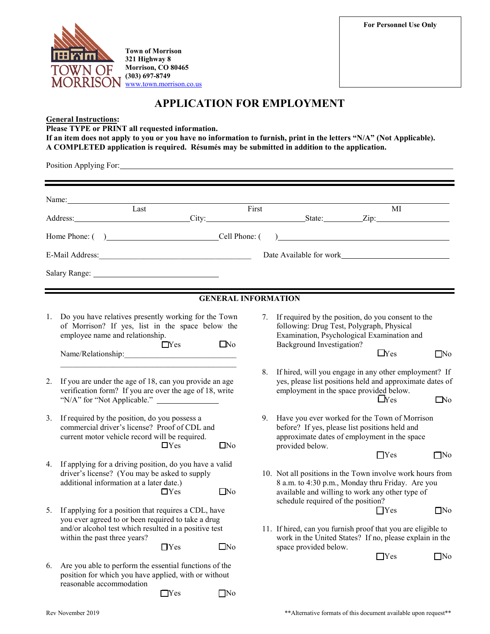**For Personnel Use Only**



**Town of Morrison 321 Highway 8 Morrison, CO 80465 (303) 697-8749** [www.town.morrison.co.us](http://www.town.morrison.co.us/)

# **APPLICATION FOR EMPLOYMENT**

## **General Instructions:**

**Please TYPE or PRINT all requested information.**

**If an item does not apply to you or you have no information to furnish, print in the letters "N/A" (Not Applicable). A COMPLETED application is required. Résumés may be submitted in addition to the application.**

Position Applying For:

|    | Name: Name and the second contract of the second contract of the second contract of the second contract of the second contract of the second contract of the second contract of the second contract of the second contract of<br>$\overline{L}$ ast | First<br>МI<br>Address: City: City: State: Zip: Zip:                                                                                                                                                                                 |  |
|----|-----------------------------------------------------------------------------------------------------------------------------------------------------------------------------------------------------------------------------------------------------|--------------------------------------------------------------------------------------------------------------------------------------------------------------------------------------------------------------------------------------|--|
|    |                                                                                                                                                                                                                                                     | <u> 1980 - Johann Barn, mars ann an t-Amhain Aonaich an t-Aonaich an t-Aonaich ann an t-Aonaich ann an t-Aonaich</u>                                                                                                                 |  |
|    | E-Mail Address:                                                                                                                                                                                                                                     | Date Available for work                                                                                                                                                                                                              |  |
|    |                                                                                                                                                                                                                                                     |                                                                                                                                                                                                                                      |  |
|    |                                                                                                                                                                                                                                                     |                                                                                                                                                                                                                                      |  |
|    |                                                                                                                                                                                                                                                     | <b>GENERAL INFORMATION</b>                                                                                                                                                                                                           |  |
| 1. | Do you have relatives presently working for the Town<br>of Morrison? If yes, list in the space below the<br>employee name and relationship.<br>$\square$ No<br>$\Box$ Yes                                                                           | 7. If required by the position, do you consent to the<br>following: Drug Test, Polygraph, Physical<br>Examination, Psychological Examination and<br>Background Investigation?<br>$\Box$ Yes<br>$\square$ No                          |  |
| 2. | If you are under the age of 18, can you provide an age<br>verification form? If you are over the age of 18, write<br>"N/A" for "Not Applicable."                                                                                                    | 8.<br>If hired, will you engage in any other employment? If<br>yes, please list positions held and approximate dates of<br>employment in the space provided below.<br>L <sub>Yes</sub><br>$\Box$ No                                  |  |
| 3. | If required by the position, do you possess a<br>commercial driver's license? Proof of CDL and<br>current motor vehicle record will be required.<br>$\Box$ Yes<br>$\square$ No                                                                      | Have you ever worked for the Town of Morrison<br>9.<br>before? If yes, please list positions held and<br>approximate dates of employment in the space<br>provided below.                                                             |  |
| 4. | If applying for a driving position, do you have a valid<br>driver's license? (You may be asked to supply<br>additional information at a later date.)<br>$\Box$ No<br>$\Box$ Yes                                                                     | $\Box$ Yes<br>$\square$ No<br>10. Not all positions in the Town involve work hours from<br>8 a.m. to 4:30 p.m., Monday thru Friday. Are you<br>available and willing to work any other type of<br>schedule required of the position? |  |
| 5. | If applying for a position that requires a CDL, have<br>you ever agreed to or been required to take a drug<br>and/or alcohol test which resulted in a positive test<br>within the past three years?<br>$\square$ No<br>$\Box$ Yes                   | $\Box$ Yes<br>$\square$ No<br>11. If hired, can you furnish proof that you are eligible to<br>work in the United States? If no, please explain in the<br>space provided below.                                                       |  |
| 6. | Are you able to perform the essential functions of the<br>position for which you have applied, with or without<br>reasonable accommodation<br>$\square$ No<br>$\Box$ Yes                                                                            | $\Box$ Yes<br>$\square$ No                                                                                                                                                                                                           |  |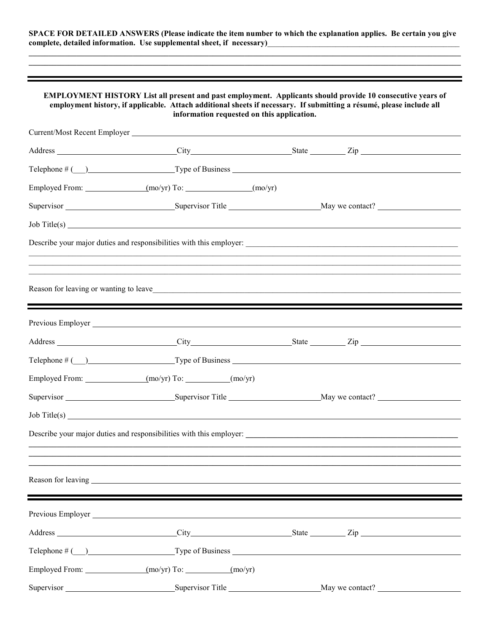**SPACE FOR DETAILED ANSWERS (Please indicate the item number to which the explanation applies. Be certain you give**  complete, detailed information. Use supplemental sheet, if necessary)\_\_\_\_\_\_\_\_\_\_\_\_

**\_\_\_\_\_\_\_\_\_\_\_\_\_\_\_\_\_\_\_\_\_\_\_\_\_\_\_\_\_\_\_\_\_\_\_\_\_\_\_\_\_\_\_\_\_\_\_\_\_\_\_\_\_\_\_\_\_\_\_\_\_\_\_\_\_\_\_\_\_\_\_\_\_\_\_\_\_\_\_\_\_\_\_\_\_\_\_\_\_\_\_\_\_\_\_\_\_\_\_\_\_\_\_\_\_\_\_\_**

| <b>EMPLOYMENT HISTORY List all present and past employment. Applicants should provide 10 consecutive years of</b><br>employment history, if applicable. Attach additional sheets if necessary. If submitting a résumé, please include all<br>information requested on this application. |  |  |
|-----------------------------------------------------------------------------------------------------------------------------------------------------------------------------------------------------------------------------------------------------------------------------------------|--|--|
|                                                                                                                                                                                                                                                                                         |  |  |
| Address City City State City State City State City State City State City City State City City State City City State City City State City City State City City State City City City State City City City City City City City Ci                                                          |  |  |
| Telephone # ( ) Type of Business Type of Business Type of Business Type of Business Type of Business Type of Business Type of Business Type of Business Type of Business Type of Business Type of Business Type of Business Ty                                                          |  |  |
| Employed From: (mo/yr) To: (mo/yr) To: (mo/yr)                                                                                                                                                                                                                                          |  |  |
|                                                                                                                                                                                                                                                                                         |  |  |
| $\text{Job Title(s)}$                                                                                                                                                                                                                                                                   |  |  |
|                                                                                                                                                                                                                                                                                         |  |  |
|                                                                                                                                                                                                                                                                                         |  |  |
|                                                                                                                                                                                                                                                                                         |  |  |
|                                                                                                                                                                                                                                                                                         |  |  |
| Address City City State Zip                                                                                                                                                                                                                                                             |  |  |
|                                                                                                                                                                                                                                                                                         |  |  |
| Employed From: (mo/yr) To: (mo/yr) To:                                                                                                                                                                                                                                                  |  |  |
|                                                                                                                                                                                                                                                                                         |  |  |
| $\text{Job Title(s)}$                                                                                                                                                                                                                                                                   |  |  |
|                                                                                                                                                                                                                                                                                         |  |  |
| ,我们也不会有什么。""我们的人,我们也不会有什么?""我们的人,我们也不会有什么?""我们的人,我们也不会有什么?""我们的人,我们也不会有什么?""我们的人                                                                                                                                                                                                        |  |  |
|                                                                                                                                                                                                                                                                                         |  |  |
|                                                                                                                                                                                                                                                                                         |  |  |
| Previous Employer                                                                                                                                                                                                                                                                       |  |  |
|                                                                                                                                                                                                                                                                                         |  |  |
|                                                                                                                                                                                                                                                                                         |  |  |
| Employed From: (mo/yr) To: (mo/yr) To:                                                                                                                                                                                                                                                  |  |  |
|                                                                                                                                                                                                                                                                                         |  |  |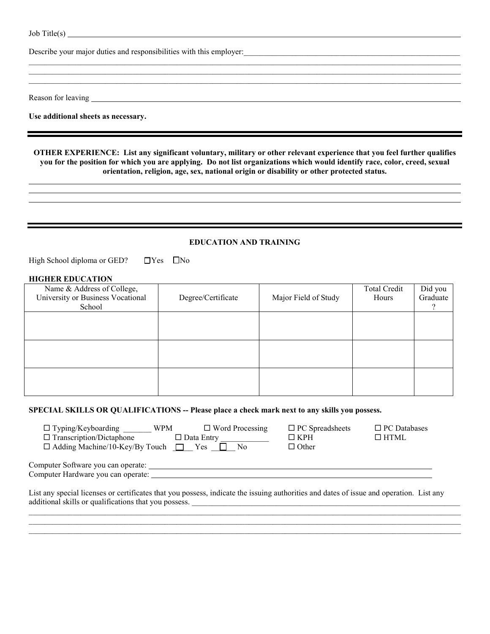Job Title(s)

Describe your major duties and responsibilities with this employer:

Reason for leaving

**Use additional sheets as necessary.**

**OTHER EXPERIENCE: List any significant voluntary, military or other relevant experience that you feel further qualifies you for the position for which you are applying. Do not list organizations which would identify race, color, creed, sexual orientation, religion, age, sex, national origin or disability or other protected status.**

 $\mathcal{L}_\mathcal{L} = \mathcal{L}_\mathcal{L} = \mathcal{L}_\mathcal{L} = \mathcal{L}_\mathcal{L} = \mathcal{L}_\mathcal{L} = \mathcal{L}_\mathcal{L} = \mathcal{L}_\mathcal{L} = \mathcal{L}_\mathcal{L} = \mathcal{L}_\mathcal{L} = \mathcal{L}_\mathcal{L} = \mathcal{L}_\mathcal{L} = \mathcal{L}_\mathcal{L} = \mathcal{L}_\mathcal{L} = \mathcal{L}_\mathcal{L} = \mathcal{L}_\mathcal{L} = \mathcal{L}_\mathcal{L} = \mathcal{L}_\mathcal{L}$  $\mathcal{L}_\mathcal{L} = \mathcal{L}_\mathcal{L} = \mathcal{L}_\mathcal{L} = \mathcal{L}_\mathcal{L} = \mathcal{L}_\mathcal{L} = \mathcal{L}_\mathcal{L} = \mathcal{L}_\mathcal{L} = \mathcal{L}_\mathcal{L} = \mathcal{L}_\mathcal{L} = \mathcal{L}_\mathcal{L} = \mathcal{L}_\mathcal{L} = \mathcal{L}_\mathcal{L} = \mathcal{L}_\mathcal{L} = \mathcal{L}_\mathcal{L} = \mathcal{L}_\mathcal{L} = \mathcal{L}_\mathcal{L} = \mathcal{L}_\mathcal{L}$ 

#### **EDUCATION AND TRAINING**

High School diploma or GED?  $\Box$  Yes  $\Box$  No

#### **HIGHER EDUCATION**

| Name & Address of College,<br>University or Business Vocational<br>School | Degree/Certificate | Major Field of Study | Total Credit<br>Hours | Did you<br>Graduate |
|---------------------------------------------------------------------------|--------------------|----------------------|-----------------------|---------------------|
|                                                                           |                    |                      |                       |                     |
|                                                                           |                    |                      |                       |                     |
|                                                                           |                    |                      |                       |                     |

#### **SPECIAL SKILLS OR QUALIFICATIONS -- Please place a check mark next to any skills you possess.**

| $\Box$ Typing/Keyboarding<br><b>WPM</b><br>$\Box$ Transcription/Dictaphone                                                              | $\Box$ Word Processing<br>$\Box$ Data Entry | $\Box$ PC Spreadsheets<br>$\Box$ KPH | $\Box$ PC Databases<br>$\Box$ HTML |
|-----------------------------------------------------------------------------------------------------------------------------------------|---------------------------------------------|--------------------------------------|------------------------------------|
| $\Box$ Adding Machine/10-Key/By Touch $\Box$ Yes                                                                                        | - No                                        | $\Box$ Other                         |                                    |
| Computer Software you can operate:                                                                                                      |                                             |                                      |                                    |
| Computer Hardware you can operate:                                                                                                      |                                             |                                      |                                    |
| List any special licenses or certificates that you possess, indicate the issuing authorities and dates of issue and operation. List any |                                             |                                      |                                    |

 $\mathcal{L}_\mathcal{L} = \mathcal{L}_\mathcal{L} = \mathcal{L}_\mathcal{L} = \mathcal{L}_\mathcal{L} = \mathcal{L}_\mathcal{L} = \mathcal{L}_\mathcal{L} = \mathcal{L}_\mathcal{L} = \mathcal{L}_\mathcal{L} = \mathcal{L}_\mathcal{L} = \mathcal{L}_\mathcal{L} = \mathcal{L}_\mathcal{L} = \mathcal{L}_\mathcal{L} = \mathcal{L}_\mathcal{L} = \mathcal{L}_\mathcal{L} = \mathcal{L}_\mathcal{L} = \mathcal{L}_\mathcal{L} = \mathcal{L}_\mathcal{L}$ \_\_\_\_\_\_\_\_\_\_\_\_\_\_\_\_\_\_\_\_\_\_\_\_\_\_\_\_\_\_\_\_\_\_\_\_\_\_\_\_\_\_\_\_\_\_\_\_\_\_\_\_\_\_\_\_\_\_\_\_\_\_\_\_\_\_\_\_\_\_\_\_\_\_\_\_\_\_\_\_\_\_\_\_\_\_\_\_\_\_\_\_\_\_\_\_\_\_\_\_\_\_\_\_\_\_\_\_  $\mathcal{L}_\mathcal{L} = \mathcal{L}_\mathcal{L} = \mathcal{L}_\mathcal{L} = \mathcal{L}_\mathcal{L} = \mathcal{L}_\mathcal{L} = \mathcal{L}_\mathcal{L} = \mathcal{L}_\mathcal{L} = \mathcal{L}_\mathcal{L} = \mathcal{L}_\mathcal{L} = \mathcal{L}_\mathcal{L} = \mathcal{L}_\mathcal{L} = \mathcal{L}_\mathcal{L} = \mathcal{L}_\mathcal{L} = \mathcal{L}_\mathcal{L} = \mathcal{L}_\mathcal{L} = \mathcal{L}_\mathcal{L} = \mathcal{L}_\mathcal{L}$ 

additional skills or qualifications that you possess. \_\_\_\_\_\_\_\_\_\_\_\_\_\_\_\_\_\_\_\_\_\_\_\_\_\_\_\_\_\_\_\_\_\_\_\_\_\_\_\_\_\_\_\_\_\_\_\_\_\_\_\_\_\_\_\_\_\_\_\_\_\_\_\_\_\_\_